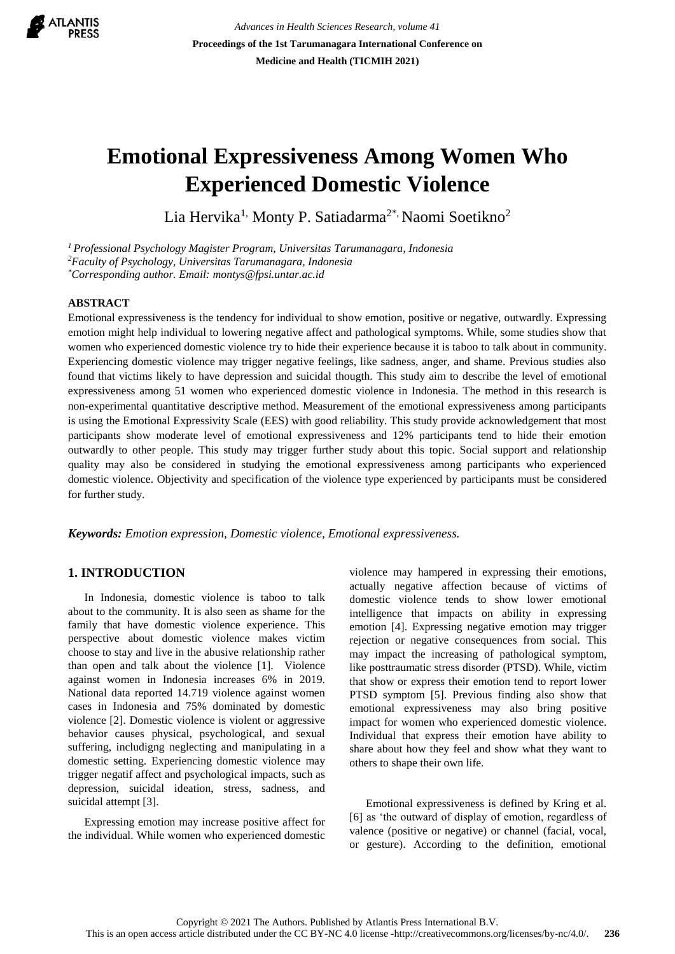

*Advances in Health Sciences Research, volume 41* **Proceedings of the 1st Tarumanagara International Conference on Medicine and Health (TICMIH 2021)**

# **Emotional Expressiveness Among Women Who Experienced Domestic Violence**

Lia Hervika<sup>1,</sup> Monty P. Satiadarma<sup>2\*,</sup> Naomi Soetikno<sup>2</sup>

*<sup>1</sup>Professional Psychology Magister Program, Universitas Tarumanagara, Indonesia <sup>2</sup>Faculty of Psychology, Universitas Tarumanagara, Indonesia \*Corresponding author. Email[: montys@fpsi.untar.ac.id](mailto:montys@fpsi.untar.ac.id)*

#### **ABSTRACT**

Emotional expressiveness is the tendency for individual to show emotion, positive or negative, outwardly. Expressing emotion might help individual to lowering negative affect and pathological symptoms. While, some studies show that women who experienced domestic violence try to hide their experience because it is taboo to talk about in community. Experiencing domestic violence may trigger negative feelings, like sadness, anger, and shame. Previous studies also found that victims likely to have depression and suicidal thougth. This study aim to describe the level of emotional expressiveness among 51 women who experienced domestic violence in Indonesia. The method in this research is non-experimental quantitative descriptive method. Measurement of the emotional expressiveness among participants is using the Emotional Expressivity Scale (EES) with good reliability. This study provide acknowledgement that most participants show moderate level of emotional expressiveness and 12% participants tend to hide their emotion outwardly to other people. This study may trigger further study about this topic. Social support and relationship quality may also be considered in studying the emotional expressiveness among participants who experienced domestic violence. Objectivity and specification of the violence type experienced by participants must be considered for further study.

*Keywords: Emotion expression, Domestic violence, Emotional expressiveness.*

#### **1. INTRODUCTION**

In Indonesia, domestic violence is taboo to talk about to the community. It is also seen as shame for the family that have domestic violence experience. This perspective about domestic violence makes victim choose to stay and live in the abusive relationship rather than open and talk about the violence [1]. Violence against women in Indonesia increases 6% in 2019. National data reported 14.719 violence against women cases in Indonesia and 75% dominated by domestic violence [2]. Domestic violence is violent or aggressive behavior causes physical, psychological, and sexual suffering, includigng neglecting and manipulating in a domestic setting. Experiencing domestic violence may trigger negatif affect and psychological impacts, such as depression, suicidal ideation, stress, sadness, and suicidal attempt [3].

Expressing emotion may increase positive affect for the individual. While women who experienced domestic

violence may hampered in expressing their emotions, actually negative affection because of victims of domestic violence tends to show lower emotional intelligence that impacts on ability in expressing emotion [4]. Expressing negative emotion may trigger rejection or negative consequences from social. This may impact the increasing of pathological symptom, like posttraumatic stress disorder (PTSD). While, victim that show or express their emotion tend to report lower PTSD symptom [5]. Previous finding also show that emotional expressiveness may also bring positive impact for women who experienced domestic violence. Individual that express their emotion have ability to share about how they feel and show what they want to others to shape their own life.

Emotional expressiveness is defined by Kring et al. [6] as 'the outward of display of emotion, regardless of valence (positive or negative) or channel (facial, vocal, or gesture). According to the definition, emotional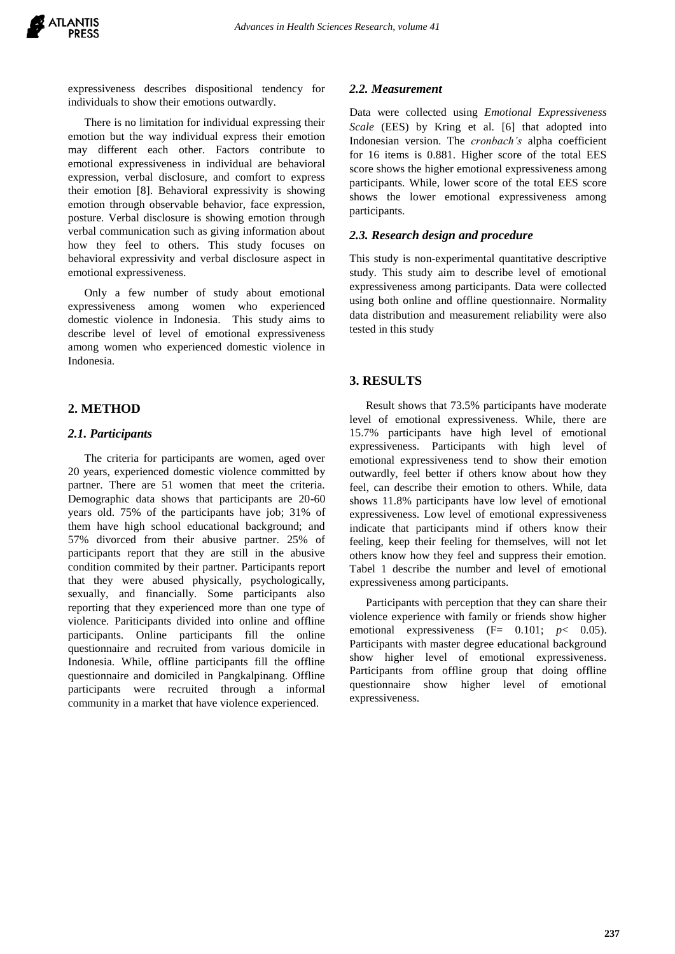expressiveness describes dispositional tendency for individuals to show their emotions outwardly.

There is no limitation for individual expressing their emotion but the way individual express their emotion may different each other. Factors contribute to emotional expressiveness in individual are behavioral expression, verbal disclosure, and comfort to express their emotion [8]. Behavioral expressivity is showing emotion through observable behavior, face expression, posture. Verbal disclosure is showing emotion through verbal communication such as giving information about how they feel to others. This study focuses on behavioral expressivity and verbal disclosure aspect in emotional expressiveness.

Only a few number of study about emotional expressiveness among women who experienced domestic violence in Indonesia. This study aims to describe level of level of emotional expressiveness among women who experienced domestic violence in Indonesia.

## **2. METHOD**

#### *2.1. Participants*

The criteria for participants are women, aged over 20 years, experienced domestic violence committed by partner. There are 51 women that meet the criteria. Demographic data shows that participants are 20-60 years old. 75% of the participants have job; 31% of them have high school educational background; and 57% divorced from their abusive partner. 25% of participants report that they are still in the abusive condition commited by their partner. Participants report that they were abused physically, psychologically, sexually, and financially. Some participants also reporting that they experienced more than one type of violence. Pariticipants divided into online and offline participants. Online participants fill the online questionnaire and recruited from various domicile in Indonesia. While, offline participants fill the offline questionnaire and domiciled in Pangkalpinang. Offline participants were recruited through a informal community in a market that have violence experienced.

#### *2.2. Measurement*

Data were collected using *Emotional Expressiveness Scale* (EES) by Kring et al. [6] that adopted into Indonesian version. The *cronbach's* alpha coefficient for 16 items is 0.881. Higher score of the total EES score shows the higher emotional expressiveness among participants. While, lower score of the total EES score shows the lower emotional expressiveness among participants.

#### *2.3. Research design and procedure*

This study is non-experimental quantitative descriptive study. This study aim to describe level of emotional expressiveness among participants. Data were collected using both online and offline questionnaire. Normality data distribution and measurement reliability were also tested in this study

### **3. RESULTS**

Result shows that 73.5% participants have moderate level of emotional expressiveness. While, there are 15.7% participants have high level of emotional expressiveness. Participants with high level of emotional expressiveness tend to show their emotion outwardly, feel better if others know about how they feel, can describe their emotion to others. While, data shows 11.8% participants have low level of emotional expressiveness. Low level of emotional expressiveness indicate that participants mind if others know their feeling, keep their feeling for themselves, will not let others know how they feel and suppress their emotion. Tabel 1 describe the number and level of emotional expressiveness among participants.

Participants with perception that they can share their violence experience with family or friends show higher emotional expressiveness  $(F= 0.101; p < 0.05)$ . Participants with master degree educational background show higher level of emotional expressiveness. Participants from offline group that doing offline questionnaire show higher level of emotional expressiveness.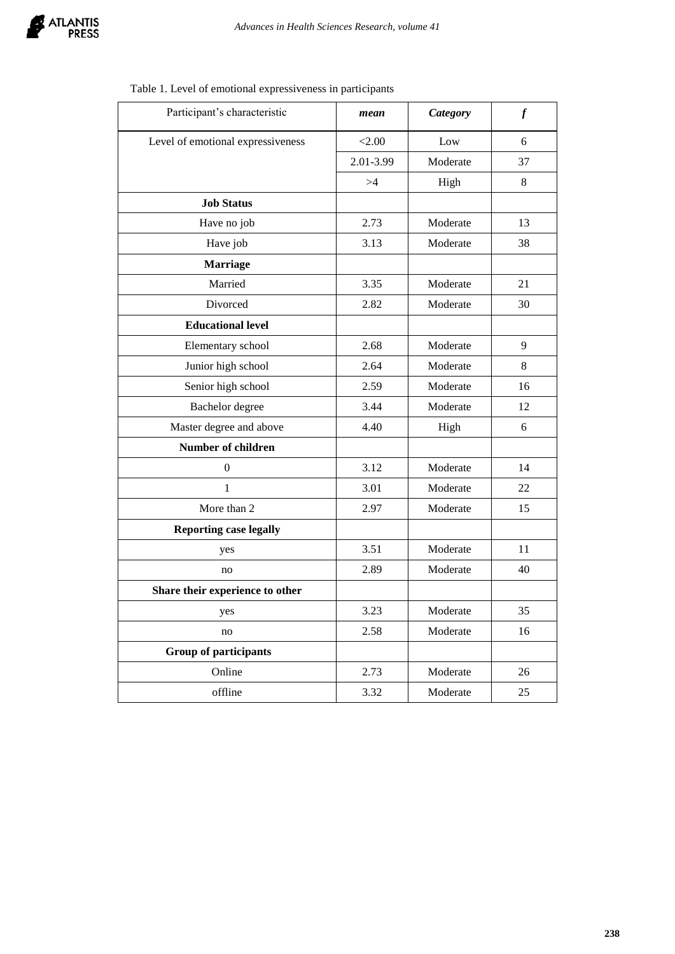

| Participant's characteristic      | mean      | <b>Category</b> | $\boldsymbol{f}$ |
|-----------------------------------|-----------|-----------------|------------------|
| Level of emotional expressiveness | < 2.00    | Low             | 6                |
|                                   | 2.01-3.99 | Moderate        | 37               |
|                                   | >4        | High            | 8                |
| <b>Job Status</b>                 |           |                 |                  |
| Have no job                       | 2.73      | Moderate        | 13               |
| Have job                          | 3.13      | Moderate        | 38               |
| <b>Marriage</b>                   |           |                 |                  |
| Married                           | 3.35      | Moderate        | 21               |
| Divorced                          | 2.82      | Moderate        | 30               |
| <b>Educational level</b>          |           |                 |                  |
| Elementary school                 | 2.68      | Moderate        | 9                |
| Junior high school                | 2.64      | Moderate        | 8                |
| Senior high school                | 2.59      | Moderate        | 16               |
| Bachelor degree                   | 3.44      | Moderate        | 12               |
| Master degree and above           | 4.40      | High            | 6                |
| Number of children                |           |                 |                  |
| $\mathbf{0}$                      | 3.12      | Moderate        | 14               |
| $\mathbf{1}$                      | 3.01      | Moderate        | 22               |
| More than 2                       | 2.97      | Moderate        | 15               |
| <b>Reporting case legally</b>     |           |                 |                  |
| yes                               | 3.51      | Moderate        | 11               |
| no                                | 2.89      | Moderate        | 40               |
| Share their experience to other   |           |                 |                  |
| yes                               | 3.23      | Moderate        | 35               |
| no                                | 2.58      | Moderate        | 16               |
| <b>Group of participants</b>      |           |                 |                  |
| Online                            | 2.73      | Moderate        | 26               |
| offline                           | 3.32      | Moderate        | 25               |

## Table 1. Level of emotional expressiveness in participants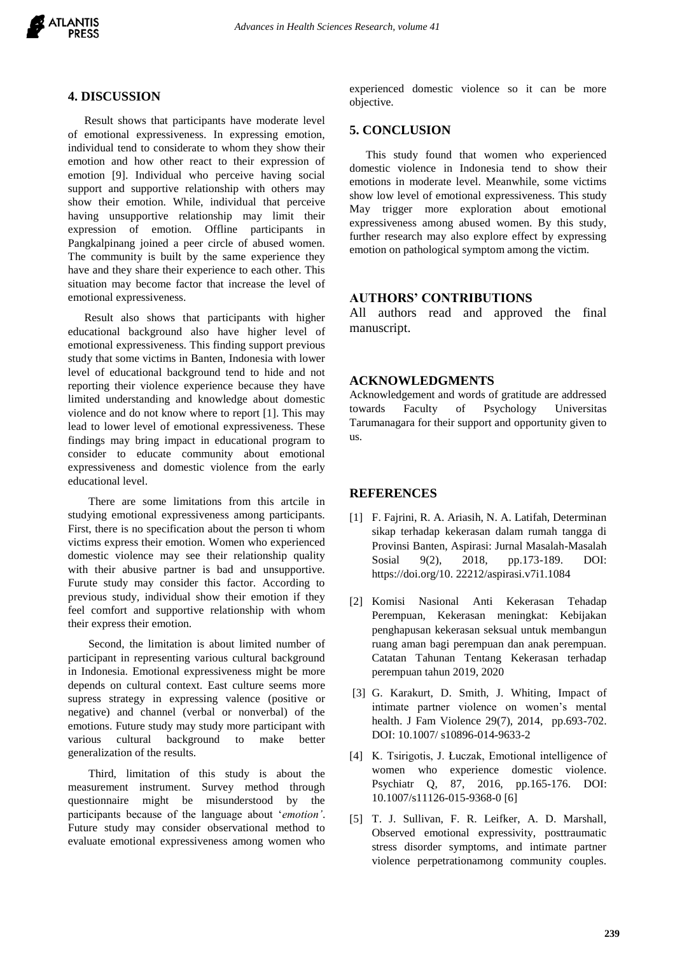

## **4. DISCUSSION**

Result shows that participants have moderate level of emotional expressiveness. In expressing emotion, individual tend to considerate to whom they show their emotion and how other react to their expression of emotion [9]. Individual who perceive having social support and supportive relationship with others may show their emotion. While, individual that perceive having unsupportive relationship may limit their expression of emotion. Offline participants in Pangkalpinang joined a peer circle of abused women. The community is built by the same experience they have and they share their experience to each other. This situation may become factor that increase the level of emotional expressiveness.

Result also shows that participants with higher educational background also have higher level of emotional expressiveness. This finding support previous study that some victims in Banten, Indonesia with lower level of educational background tend to hide and not reporting their violence experience because they have limited understanding and knowledge about domestic violence and do not know where to report [1]. This may lead to lower level of emotional expressiveness. These findings may bring impact in educational program to consider to educate community about emotional expressiveness and domestic violence from the early educational level.

There are some limitations from this artcile in studying emotional expressiveness among participants. First, there is no specification about the person ti whom victims express their emotion. Women who experienced domestic violence may see their relationship quality with their abusive partner is bad and unsupportive. Furute study may consider this factor. According to previous study, individual show their emotion if they feel comfort and supportive relationship with whom their express their emotion.

Second, the limitation is about limited number of participant in representing various cultural background in Indonesia. Emotional expressiveness might be more depends on cultural context. East culture seems more supress strategy in expressing valence (positive or negative) and channel (verbal or nonverbal) of the emotions. Future study may study more participant with various cultural background to make better generalization of the results.

Third, limitation of this study is about the measurement instrument. Survey method through questionnaire might be misunderstood by the participants because of the language about '*emotion'*. Future study may consider observational method to evaluate emotional expressiveness among women who experienced domestic violence so it can be more objective.

#### **5. CONCLUSION**

This study found that women who experienced domestic violence in Indonesia tend to show their emotions in moderate level. Meanwhile, some victims show low level of emotional expressiveness. This study May trigger more exploration about emotional expressiveness among abused women. By this study, further research may also explore effect by expressing emotion on pathological symptom among the victim.

#### **AUTHORS' CONTRIBUTIONS**

All authors read and approved the final manuscript.

#### **ACKNOWLEDGMENTS**

Acknowledgement and words of gratitude are addressed towards Faculty of Psychology Universitas Tarumanagara for their support and opportunity given to us.

## **REFERENCES**

- [1] F. Fajrini, R. A. Ariasih, N. A. Latifah, Determinan sikap terhadap kekerasan dalam rumah tangga di Provinsi Banten, Aspirasi: Jurnal Masalah-Masalah Sosial 9(2), 2018, pp.173-189. DOI: https://doi.org/10. 22212/aspirasi.v7i1.1084
- [2] Komisi Nasional Anti Kekerasan Tehadap Perempuan, Kekerasan meningkat: Kebijakan penghapusan kekerasan seksual untuk membangun ruang aman bagi perempuan dan anak perempuan. Catatan Tahunan Tentang Kekerasan terhadap perempuan tahun 2019, 2020
- [3] G. Karakurt, D. Smith, J. Whiting, Impact of intimate partner violence on women's mental health. J Fam Violence 29(7), 2014, pp.693-702. DOI: 10.1007/ s10896-014-9633-2
- [4] K. Tsirigotis, J. Łuczak, Emotional intelligence of women who experience domestic violence. Psychiatr Q, 87, 2016, pp.165-176. DOI: 10.1007/s11126-015-9368-0 [6]
- [5] T. J. Sullivan, F. R. Leifker, A. D. Marshall, Observed emotional expressivity, posttraumatic stress disorder symptoms, and intimate partner violence perpetrationamong community couples.